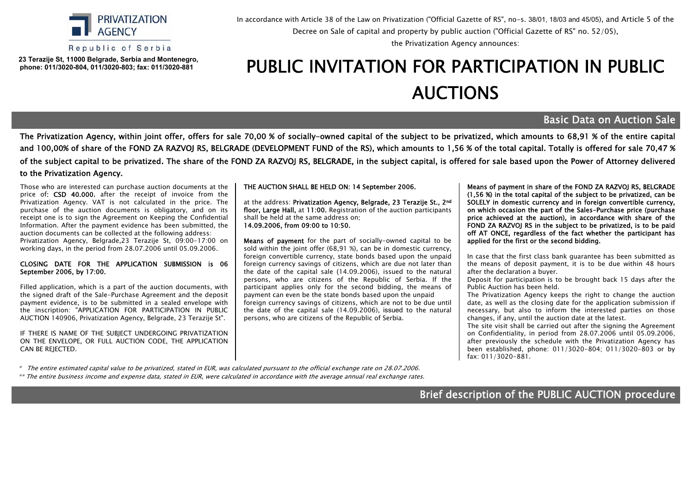

Republic of Serbia

 **23 Теrazije St, 11000 Belgrade, Serbia and Montenegro, phone: 011/3020-804, 011/3020-803; fax: 011/3020-881**

In accordance with Article 38 of the Law on Privatization ("Official Gazette of RS", no-s. 38/01, 18/03 and 45/05), and Article 5 of the Decree оn Sale of capital and property by public auction ("Official Gazette of RS" no. 52/05),

the Privatization Agency announces:

## PUBLIC INVITATION FOR PARTICIPATION IN PUBLIC АUCTIONS

## Basic Data on Auction Sale

The Privatization Agency, within joint offer, offers for sale 70,00 % of socially-owned capital of the subject to be privatized, which amounts to 68,91 % of the entire capital and 100,00% of share of the FOND ZA RAZVOJ RS, BELGRADE (DEVELOPMENT FUND of the RS), which amounts to 1,56 % of the total capital. Totally is offered for sale 70,47 % of the subject capital to be privatized. The share of the FOND ZA RAZVOJ RS, BELGRADE, in the subject capital, is offered for sale based upon the Power of Attorney delivered to the Privatization Agency.

Those who are interested can purchase auction documents at the price of: CSD 40.000, after the receipt of invoice from the Privatization Agency. VAT is not calculated in the price. The purchase of the auction documents is obligatory, and on its receipt one is to sign the Agreement on Keeping the Confidential Information. After the payment evidence has been submitted, the auction documents can be collected at the following address: Privatization Agency, Belgrade,23 Теrazije St, 09:00-17:00 on working days, in the period from 28.07.2006 until 05.09.2006.

## CLOSING DATE FOR THE APPLICATION SUBMISSION is 06 September 2006, by 17:00.

Filled application, which is a part of the auction documents, with the signed draft of the Sale-Purchase Agreement and the deposit payment evidence, is to be submitted in a sealed envelope with the inscription: "APPLICATION FOR PARTICIPATION IN PUBLIC AUCTION 140906, Privatization Agency, Belgrade, 23 Тerazije St".

IF THERE IS NAME OF THE SUBIECT UNDERGOING PRIVATIZATION ON THE ENVELOPE, OR FULL AUCTION CODE, THE APPLICATION CAN BE REJECTED.

## THE AUCTION SHALL BE HELD ON: 14 September 2006.

at the address: Privatization Agency, Belgrade, 23 Terazije St., 2nd floor, Large Hall, at 11:00. Registration of the auction participants shall be held at the same address on: 14.09.2006, from 09:00 to 10:50.

Means of payment for the part of socially-owned capital to be sold within the joint offer (68,91 %), can be in domestic currency, foreign convertible currency, state bonds based upon the unpaid foreign currency savings of citizens, which are due not later than the date of the capital sale (14.09.2006), issued to the natural persons, who are citizens of the Republic of Serbia. If the participant applies only for the second bidding, the means of payment can even be the state bonds based upon the unpaid foreign currency savings of citizens, which are not to be due until the date of the capital sale (14.09.2006), issued to the natural persons, who are citizens of the Republic of Serbia.

Means of payment in share of the FOND ZA RAZVOJ RS, BELGRADE (1,56 %) in the total capital of the subject to be privatized, can be SOLELY in domestic currency and in foreign convertible currency, on which occasion the part of the Sales-Purchase price (purchase price achieved at the auction), in accordance with share of the FOND ZA RAZVOJ RS in the subject to be privatized, is to be paid off AT ONCE, regardless of the fact whether the participant has applied for the first or the second bidding.

In case that the first class bank guarantee has been submitted as the means of deposit payment, it is to be due within 48 hours after the declaration a buyer.

Deposit for participation is to be brought back 15 days after the Public Auction has been held.

The Privatization Agency keeps the right to change the auction date, as well as the closing date for the application submission if necessary, but also to inform the interested parties on those changes, if any, until the auction date at the latest.

The site visit shall be carried out after the signing the Agreement on Confidentiality, in period from 28.07.2006 until 05.09.2006, after previously the schedule with the Privatization Agency has been established, phone: 011/3020-804; 011/3020-803 or by fax: 011/3020-881.

\* The entire estimated capital value to be privatized, stated in EUR, was calculated pursuant to the official exchange rate on 28.07.2006.

\*\* The entire business income and expense data, stated in EUR, were calculated in accordance with the average annual real exchange rates.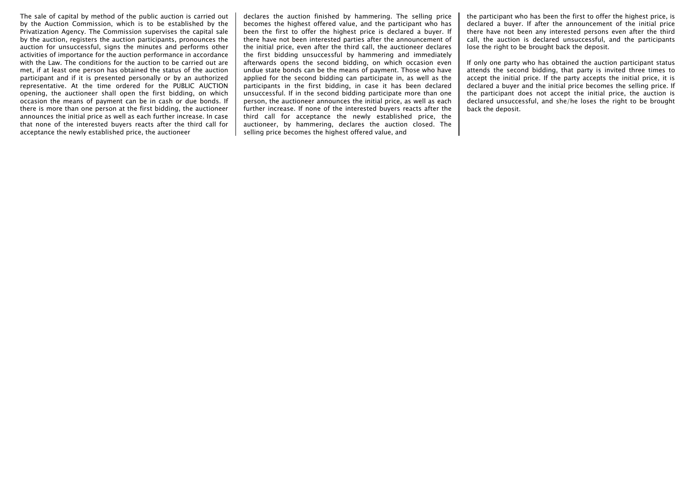The sale of capital by method of the public auction is carried out by the Auction Commission, which is to be established by the Privatization Agency. The Commission supervises the capital sale by the auction, registers the auction participants, pronounces the auction for unsuccessful, signs the minutes and performs other activities of importance for the auction performance in accordance with the Law. The conditions for the auction to be carried out are met, if at least one person has obtained the status of the auction participant and if it is presented personally or by an authorized representative. At the time ordered for the PUBLIC AUCTION opening, the auctioneer shall open the first bidding, on which occasion the means of payment can be in cash or due bonds. If there is more than one person at the first bidding, the auctioneer announces the initial price as well as each further increase. In case that none of the interested buyers reacts after the third call for acceptance the newly established price, the auctioneer

declares the auction finished by hammering. The selling price becomes the highest offered value, and the participant who has been the first to offer the highest price is declared a buyer. If there have not been interested parties after the announcement of the initial price, even after the third call, the auctioneer declares the first bidding unsuccessful by hammering and immediately afterwards opens the second bidding, on which occasion even undue state bonds can be the means of payment. Those who have applied for the second bidding can participate in, as well as the participants in the first bidding, in case it has been declared unsuccessful. If in the second bidding participate more than one person, the auctioneer announces the initial price, as well as each further increase. If none of the interested buyers reacts after the third call for acceptance the newly established price, the auctioneer, by hammering, declares the auction closed. The selling price becomes the highest offered value, and

the participant who has been the first to offer the highest price, is declared a buyer. If after the announcement of the initial price there have not been any interested persons even after the third call, the auction is declared unsuccessful, and the participants lose the right to be brought back the deposit.

If only one party who has obtained the auction participant status attends the second bidding, that party is invited three times to accept the initial price. If the party accepts the initial price, it is declared a buyer and the initial price becomes the selling price. If the participant does not accept the initial price, the auction is declared unsuccessful, and she/he loses the right to be brought back the deposit.